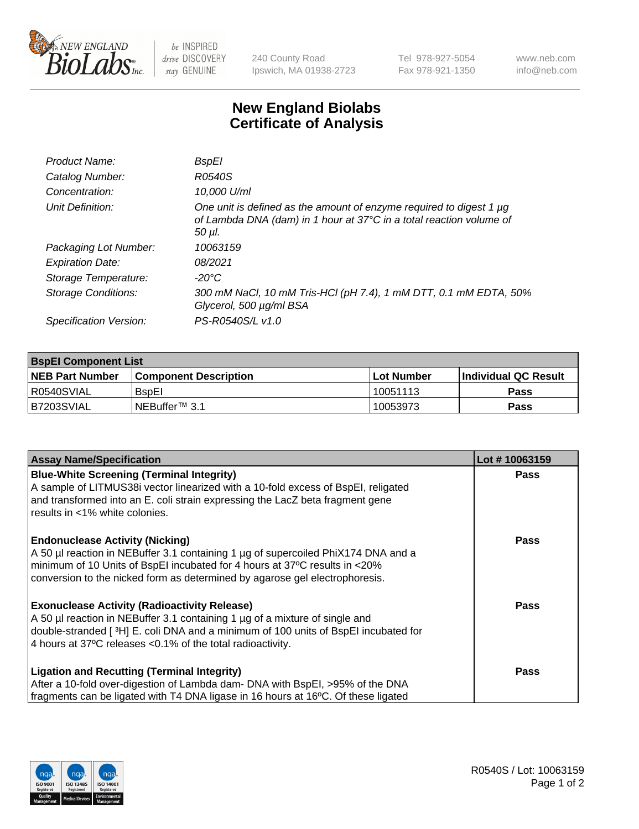

be INSPIRED drive DISCOVERY stay GENUINE

240 County Road Ipswich, MA 01938-2723 Tel 978-927-5054 Fax 978-921-1350 www.neb.com info@neb.com

## **New England Biolabs Certificate of Analysis**

| <b>BspEI</b>                                                                                                                                                |
|-------------------------------------------------------------------------------------------------------------------------------------------------------------|
| R0540S                                                                                                                                                      |
| 10,000 U/ml                                                                                                                                                 |
| One unit is defined as the amount of enzyme required to digest 1 µg<br>of Lambda DNA (dam) in 1 hour at 37°C in a total reaction volume of<br>$50$ $\mu$ l. |
| 10063159                                                                                                                                                    |
| 08/2021                                                                                                                                                     |
| $-20^{\circ}$ C                                                                                                                                             |
| 300 mM NaCl, 10 mM Tris-HCl (pH 7.4), 1 mM DTT, 0.1 mM EDTA, 50%<br>Glycerol, 500 µg/ml BSA                                                                 |
| PS-R0540S/L v1.0                                                                                                                                            |
|                                                                                                                                                             |

| <b>BspEl Component List</b> |                              |             |                             |  |  |
|-----------------------------|------------------------------|-------------|-----------------------------|--|--|
| <b>NEB Part Number</b>      | <b>Component Description</b> | ⊺Lot Number | <b>Individual QC Result</b> |  |  |
| I R0540SVIAL                | <b>B</b> spEl                | 10051113    | Pass                        |  |  |
| IB7203SVIAL                 | INEBuffer™ 3.1               | 10053973    | <b>Pass</b>                 |  |  |

| <b>Assay Name/Specification</b>                                                    | Lot #10063159 |
|------------------------------------------------------------------------------------|---------------|
| <b>Blue-White Screening (Terminal Integrity)</b>                                   | <b>Pass</b>   |
| A sample of LITMUS38i vector linearized with a 10-fold excess of BspEI, religated  |               |
| and transformed into an E. coli strain expressing the LacZ beta fragment gene      |               |
| results in <1% white colonies.                                                     |               |
| <b>Endonuclease Activity (Nicking)</b>                                             | <b>Pass</b>   |
| A 50 µl reaction in NEBuffer 3.1 containing 1 µg of supercoiled PhiX174 DNA and a  |               |
| minimum of 10 Units of BspEI incubated for 4 hours at 37°C results in <20%         |               |
| conversion to the nicked form as determined by agarose gel electrophoresis.        |               |
| <b>Exonuclease Activity (Radioactivity Release)</b>                                | Pass          |
| A 50 µl reaction in NEBuffer 3.1 containing 1 µg of a mixture of single and        |               |
| double-stranded [3H] E. coli DNA and a minimum of 100 units of BspEI incubated for |               |
| 4 hours at 37°C releases < 0.1% of the total radioactivity.                        |               |
| Ligation and Recutting (Terminal Integrity)                                        | <b>Pass</b>   |
| After a 10-fold over-digestion of Lambda dam- DNA with BspEI, >95% of the DNA      |               |
| fragments can be ligated with T4 DNA ligase in 16 hours at 16°C. Of these ligated  |               |